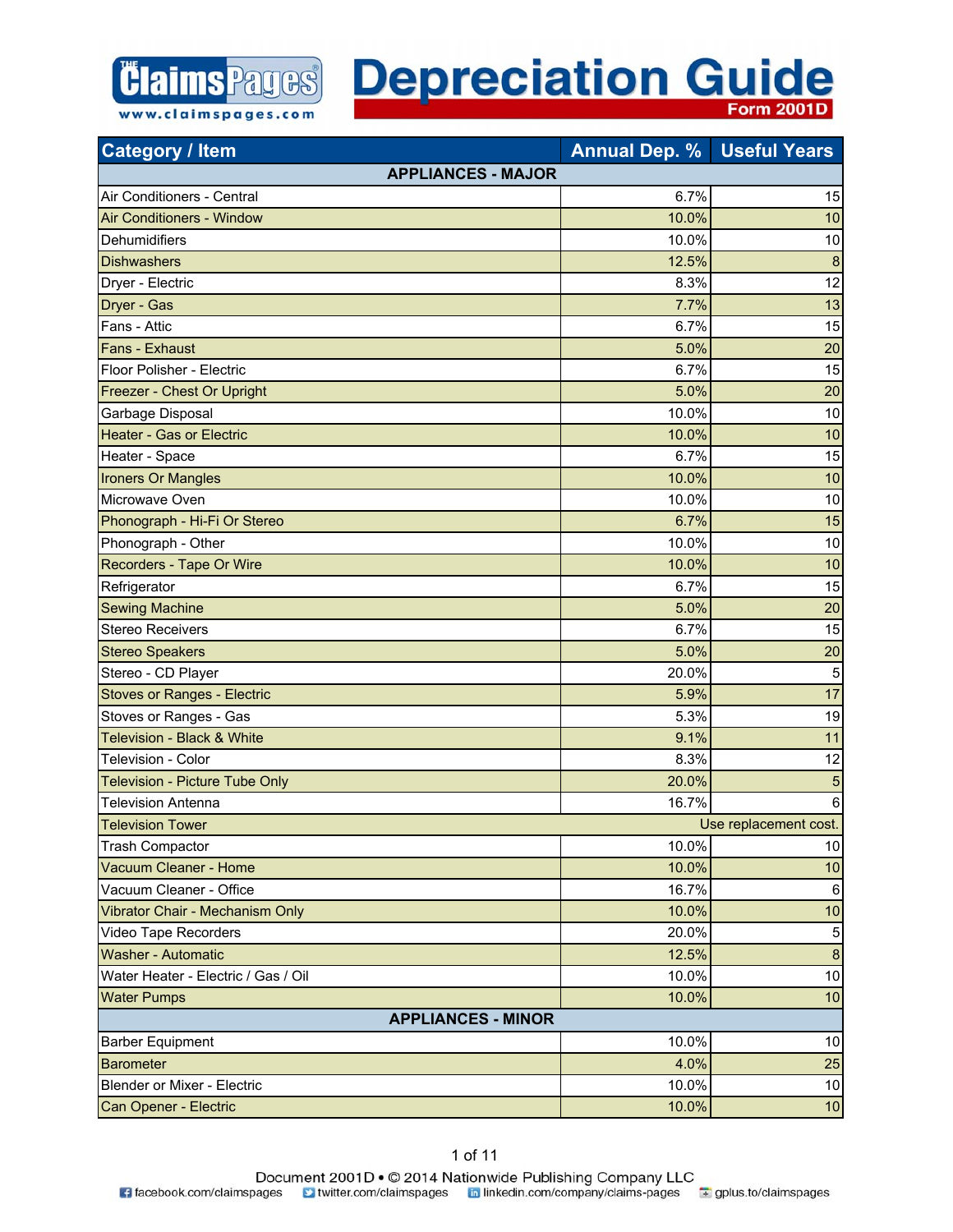

**Category / Item Annual Dep. % Useful Years** 

| <b>ualegury / Ileiri</b>              | AHRU D <del>o</del> p. 70 | <b>USCIUI IGAIS</b>   |
|---------------------------------------|---------------------------|-----------------------|
| <b>APPLIANCES - MAJOR</b>             |                           |                       |
| Air Conditioners - Central            | 6.7%                      | 15                    |
| <b>Air Conditioners - Window</b>      | 10.0%                     | 10                    |
| Dehumidifiers                         | 10.0%                     | 10                    |
| <b>Dishwashers</b>                    | 12.5%                     | $\boldsymbol{8}$      |
| Dryer - Electric                      | 8.3%                      | 12                    |
| Dryer - Gas                           | 7.7%                      | 13                    |
| Fans - Attic                          | 6.7%                      | 15                    |
| <b>Fans - Exhaust</b>                 | 5.0%                      | 20                    |
| Floor Polisher - Electric             | 6.7%                      | 15                    |
| Freezer - Chest Or Upright            | 5.0%                      | 20                    |
| Garbage Disposal                      | 10.0%                     | 10                    |
| <b>Heater - Gas or Electric</b>       | 10.0%                     | 10                    |
| Heater - Space                        | 6.7%                      | 15                    |
| <b>Ironers Or Mangles</b>             | 10.0%                     | 10                    |
| Microwave Oven                        | 10.0%                     | 10                    |
| Phonograph - Hi-Fi Or Stereo          | 6.7%                      | 15                    |
| Phonograph - Other                    | 10.0%                     | 10                    |
| <b>Recorders - Tape Or Wire</b>       | 10.0%                     | 10                    |
| Refrigerator                          | 6.7%                      | 15                    |
| <b>Sewing Machine</b>                 | 5.0%                      | 20                    |
| Stereo Receivers                      | 6.7%                      | 15                    |
| <b>Stereo Speakers</b>                | 5.0%                      | 20                    |
| Stereo - CD Player                    | 20.0%                     | 5                     |
| <b>Stoves or Ranges - Electric</b>    | 5.9%                      | 17                    |
| Stoves or Ranges - Gas                | 5.3%                      | 19                    |
| <b>Television - Black &amp; White</b> | 9.1%                      | 11                    |
| Television - Color                    | 8.3%                      | 12                    |
| Television - Picture Tube Only        | 20.0%                     | 5                     |
| <b>Television Antenna</b>             | 16.7%                     | 6                     |
| <b>Television Tower</b>               |                           | Use replacement cost. |
| <b>Trash Compactor</b>                | 10.0%                     | 10                    |
| Vacuum Cleaner - Home                 | 10.0%                     | 10                    |
| Vacuum Cleaner - Office               | 16.7%                     | 6                     |
| Vibrator Chair - Mechanism Only       | 10.0%                     | 10                    |
| Video Tape Recorders                  | 20.0%                     | $\mathbf 5$           |
| <b>Washer - Automatic</b>             | 12.5%                     | $\bf 8$               |
| Water Heater - Electric / Gas / Oil   | 10.0%                     | $10$                  |
| <b>Water Pumps</b>                    | 10.0%                     | 10                    |
| <b>APPLIANCES - MINOR</b>             |                           |                       |
| <b>Barber Equipment</b>               | 10.0%                     | 10                    |
| <b>Barometer</b>                      | 4.0%                      | 25                    |
| <b>Blender or Mixer - Electric</b>    | 10.0%                     | 10                    |
| Can Opener - Electric                 | 10.0%                     | 10                    |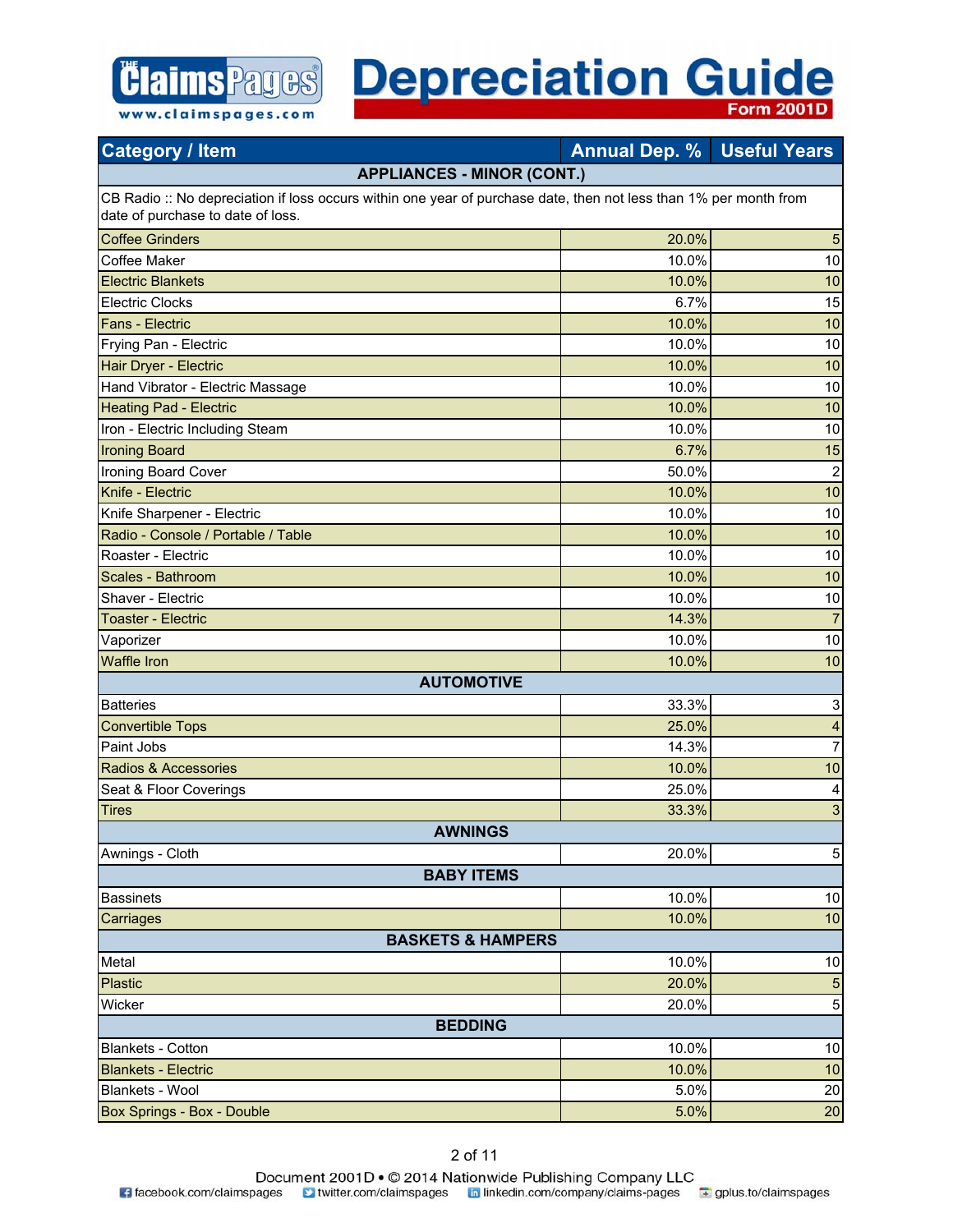

| <b>Category / Item</b>                                                                                                                                 | <b>Annual Dep. % Useful Years</b> |                           |
|--------------------------------------------------------------------------------------------------------------------------------------------------------|-----------------------------------|---------------------------|
| <b>APPLIANCES - MINOR (CONT.)</b>                                                                                                                      |                                   |                           |
| CB Radio :: No depreciation if loss occurs within one year of purchase date, then not less than 1% per month from<br>date of purchase to date of loss. |                                   |                           |
| <b>Coffee Grinders</b>                                                                                                                                 | 20.0%                             | 5                         |
| Coffee Maker                                                                                                                                           | 10.0%                             | 10                        |
| <b>Electric Blankets</b>                                                                                                                               | 10.0%                             | 10                        |
| <b>Electric Clocks</b>                                                                                                                                 | 6.7%                              | 15                        |
| <b>Fans - Electric</b>                                                                                                                                 | 10.0%                             | 10                        |
| Frying Pan - Electric                                                                                                                                  | 10.0%                             | 10                        |
| Hair Dryer - Electric                                                                                                                                  | 10.0%                             | 10                        |
| Hand Vibrator - Electric Massage                                                                                                                       | 10.0%                             | 10                        |
| <b>Heating Pad - Electric</b>                                                                                                                          | 10.0%                             | 10                        |
| Iron - Electric Including Steam                                                                                                                        | 10.0%                             | 10                        |
| <b>Ironing Board</b>                                                                                                                                   | 6.7%                              | 15                        |
| Ironing Board Cover                                                                                                                                    | 50.0%                             | $\boldsymbol{2}$          |
| Knife - Electric                                                                                                                                       | 10.0%                             | 10                        |
| Knife Sharpener - Electric                                                                                                                             | 10.0%                             | 10                        |
| Radio - Console / Portable / Table                                                                                                                     | 10.0%                             | 10                        |
| Roaster - Electric                                                                                                                                     | 10.0%                             | 10                        |
| Scales - Bathroom                                                                                                                                      | 10.0%                             | 10                        |
| Shaver - Electric                                                                                                                                      | 10.0%                             | 10                        |
| <b>Toaster - Electric</b>                                                                                                                              | 14.3%                             | $\overline{7}$            |
| Vaporizer                                                                                                                                              | 10.0%                             | 10                        |
| <b>Waffle Iron</b>                                                                                                                                     | 10.0%                             | 10                        |
| <b>AUTOMOTIVE</b>                                                                                                                                      |                                   |                           |
| <b>Batteries</b>                                                                                                                                       | 33.3%                             | $\ensuremath{\mathsf{3}}$ |
| <b>Convertible Tops</b>                                                                                                                                | 25.0%                             | $\overline{\mathbf{4}}$   |
| Paint Jobs                                                                                                                                             | 14.3%                             | $\overline{7}$            |
| Radios & Accessories                                                                                                                                   | 10.0%                             | 10                        |
| Seat & Floor Coverings                                                                                                                                 | 25.0%                             | 4                         |
| <b>Tires</b>                                                                                                                                           | 33.3%                             | 3                         |
| <b>AWNINGS</b>                                                                                                                                         |                                   |                           |
| Awnings - Cloth                                                                                                                                        | 20.0%                             | $\mathbf 5$               |
| <b>BABY ITEMS</b>                                                                                                                                      |                                   |                           |
| <b>Bassinets</b>                                                                                                                                       | 10.0%                             | $10$                      |
| Carriages                                                                                                                                              | 10.0%                             | 10                        |
| <b>BASKETS &amp; HAMPERS</b>                                                                                                                           |                                   |                           |
| Metal                                                                                                                                                  | 10.0%                             | $10$                      |
| <b>Plastic</b>                                                                                                                                         | 20.0%                             | 5                         |
| Wicker                                                                                                                                                 | 20.0%                             | $\mathbf 5$               |
| <b>BEDDING</b>                                                                                                                                         |                                   |                           |
| Blankets - Cotton                                                                                                                                      | 10.0%                             | 10                        |
| <b>Blankets - Electric</b>                                                                                                                             | 10.0%                             | 10                        |
| Blankets - Wool                                                                                                                                        | 5.0%                              | 20                        |
| Box Springs - Box - Double                                                                                                                             | 5.0%                              | 20                        |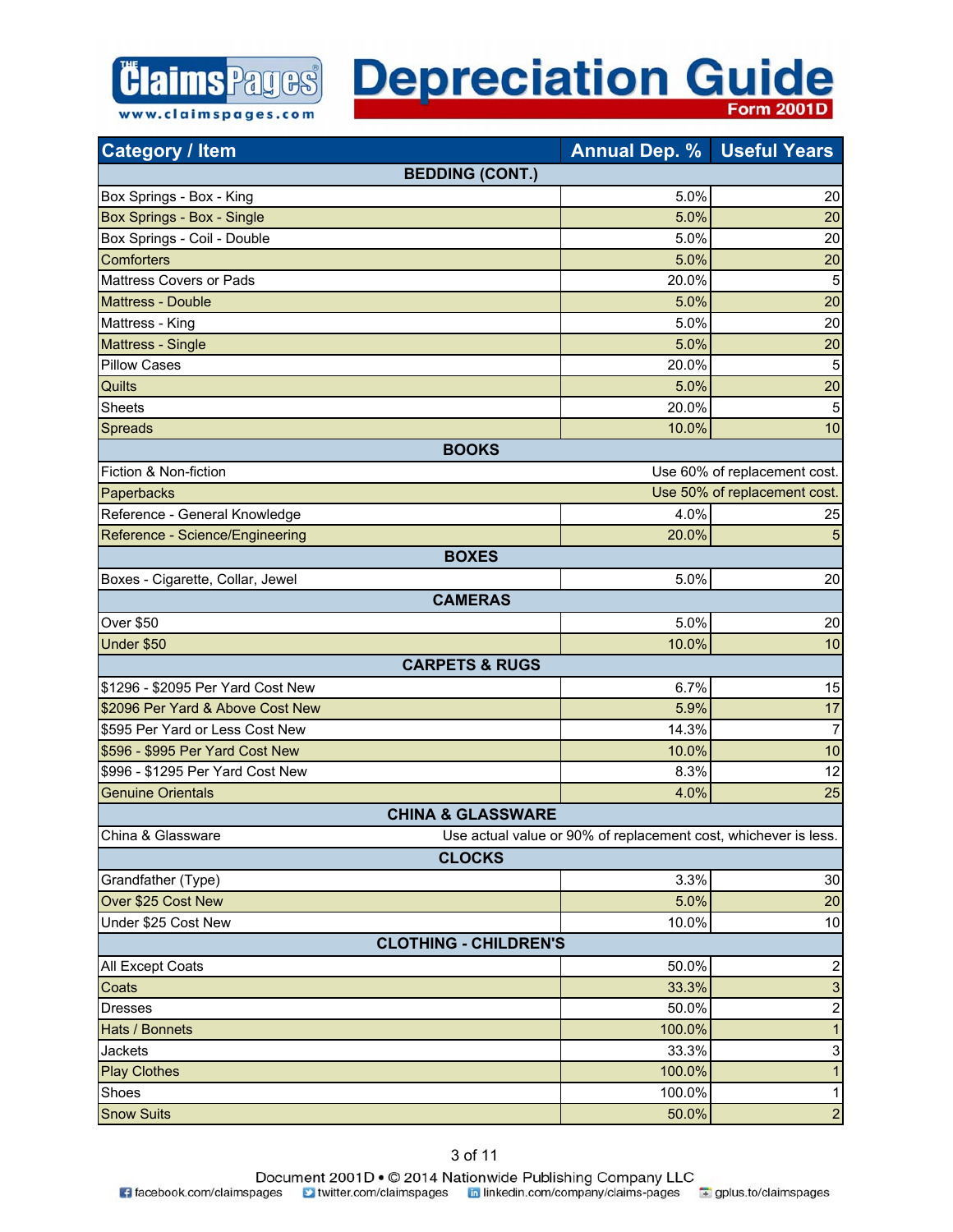

| <b>Category / Item</b>            | <b>Annual Dep. % Useful Years</b>                               |                              |
|-----------------------------------|-----------------------------------------------------------------|------------------------------|
|                                   | <b>BEDDING (CONT.)</b>                                          |                              |
| Box Springs - Box - King          | 5.0%                                                            | 20                           |
| Box Springs - Box - Single        | 5.0%                                                            | 20                           |
| Box Springs - Coil - Double       | 5.0%                                                            | 20                           |
| <b>Comforters</b>                 | 5.0%                                                            | 20                           |
| Mattress Covers or Pads           | 20.0%                                                           | 5                            |
| <b>Mattress - Double</b>          | 5.0%                                                            | 20                           |
| Mattress - King                   | 5.0%                                                            | 20                           |
| Mattress - Single                 | 5.0%                                                            | 20                           |
| <b>Pillow Cases</b>               | 20.0%                                                           | 5                            |
| Quilts                            | 5.0%                                                            | 20                           |
| <b>Sheets</b>                     | 20.0%                                                           | 5                            |
| Spreads                           | 10.0%                                                           | 10                           |
|                                   | <b>BOOKS</b>                                                    |                              |
| Fiction & Non-fiction             |                                                                 | Use 60% of replacement cost. |
| Paperbacks                        |                                                                 | Use 50% of replacement cost. |
| Reference - General Knowledge     | 4.0%                                                            | 25                           |
| Reference - Science/Engineering   | 20.0%                                                           | 5                            |
|                                   | <b>BOXES</b>                                                    |                              |
| Boxes - Cigarette, Collar, Jewel  | 5.0%                                                            | 20                           |
|                                   | <b>CAMERAS</b>                                                  |                              |
| <b>Over \$50</b>                  | 5.0%                                                            | 20                           |
| Under \$50                        | 10.0%                                                           | 10                           |
|                                   | <b>CARPETS &amp; RUGS</b>                                       |                              |
| \$1296 - \$2095 Per Yard Cost New | 6.7%                                                            | 15                           |
| \$2096 Per Yard & Above Cost New  | 5.9%                                                            | 17                           |
| \$595 Per Yard or Less Cost New   | 14.3%                                                           | $\overline{7}$               |
| \$596 - \$995 Per Yard Cost New   | 10.0%                                                           | 10                           |
| \$996 - \$1295 Per Yard Cost New  | 8.3%                                                            | 12                           |
| <b>Genuine Orientals</b>          | 4.0%                                                            | 25                           |
|                                   | <b>CHINA &amp; GLASSWARE</b>                                    |                              |
| China & Glassware                 | Use actual value or 90% of replacement cost, whichever is less. |                              |
|                                   | <b>CLOCKS</b>                                                   |                              |
| Grandfather (Type)                | 3.3%                                                            | 30                           |
| Over \$25 Cost New                | 5.0%                                                            | 20                           |
| Under \$25 Cost New               | 10.0%                                                           | 10                           |
|                                   | <b>CLOTHING - CHILDREN'S</b>                                    |                              |
| All Except Coats                  | 50.0%                                                           | $\overline{2}$               |
| Coats                             | 33.3%                                                           | 3                            |
| <b>Dresses</b>                    | 50.0%                                                           | $\overline{2}$               |
| Hats / Bonnets                    | 100.0%                                                          | $\mathbf{1}$                 |
| Jackets                           | 33.3%                                                           | 3                            |
| <b>Play Clothes</b>               | 100.0%                                                          | $\mathbf{1}$                 |
| Shoes                             | 100.0%                                                          | $\mathbf{1}$                 |
| <b>Snow Suits</b>                 | 50.0%                                                           | $\overline{\mathbf{c}}$      |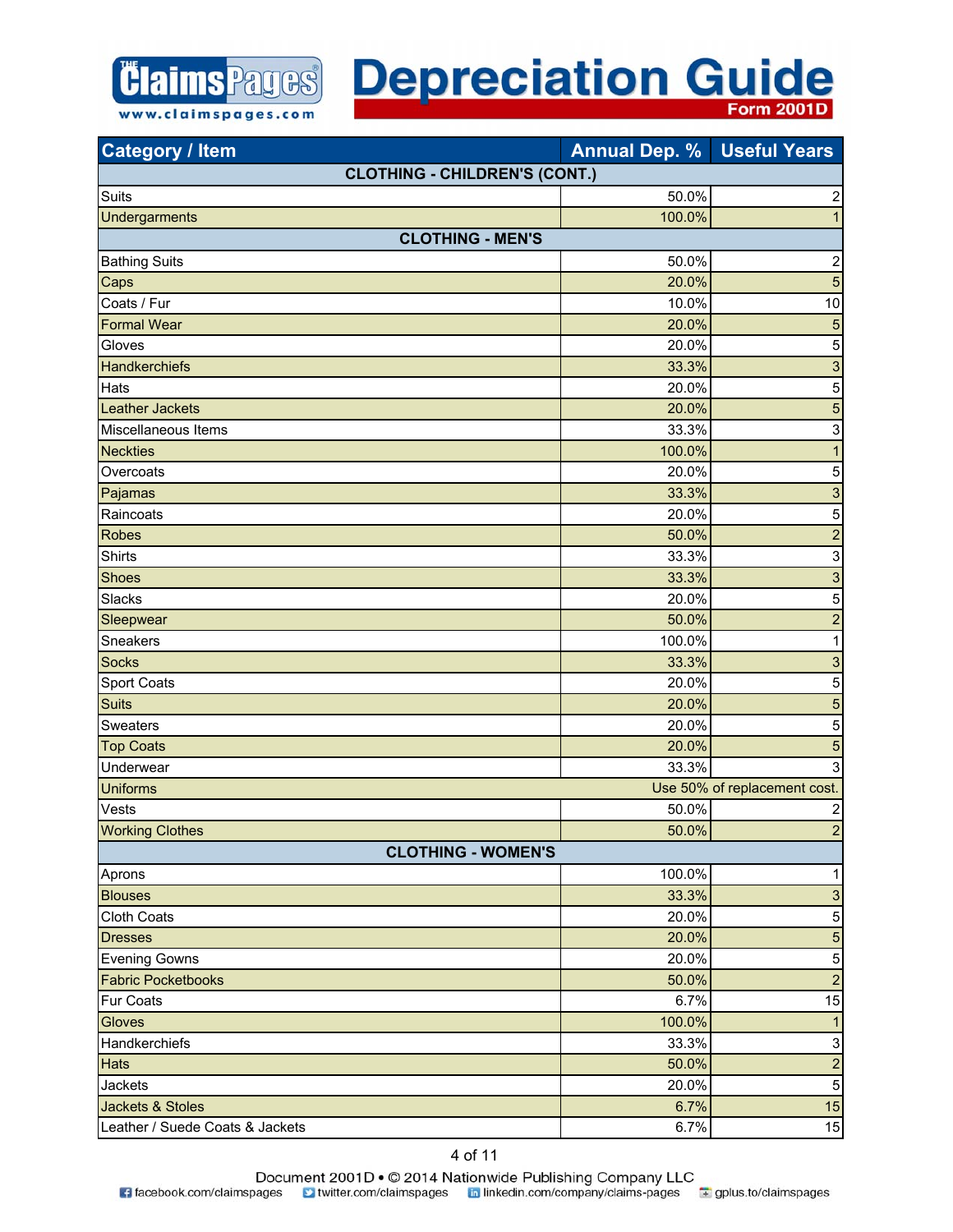

#### **Depreciation Guide Form 2001D**

|                           | <b>CLOTHING - CHILDREN'S (CONT.)</b> |                              |
|---------------------------|--------------------------------------|------------------------------|
| Suits                     | 50.0%                                | $\overline{\mathbf{c}}$      |
| <b>Undergarments</b>      | 100.0%                               | 1                            |
| <b>CLOTHING - MEN'S</b>   |                                      |                              |
| <b>Bathing Suits</b>      | 50.0%                                | $\overline{\mathbf{c}}$      |
| Caps                      | 20.0%                                | 5                            |
| Coats / Fur               | 10.0%                                | 10                           |
| <b>Formal Wear</b>        | 20.0%                                | 5                            |
| Gloves                    | 20.0%                                | 5                            |
| <b>Handkerchiefs</b>      | 33.3%                                | 3                            |
| Hats                      | 20.0%                                | 5                            |
| <b>Leather Jackets</b>    | 20.0%                                | 5                            |
| Miscellaneous Items       | 33.3%                                | 3                            |
| <b>Neckties</b>           | 100.0%                               | $\mathbf{1}$                 |
| Overcoats                 | 20.0%                                | 5                            |
| Pajamas                   | 33.3%                                | 3                            |
| Raincoats                 | 20.0%                                | 5                            |
| <b>Robes</b>              | 50.0%                                | $\overline{\mathbf{c}}$      |
| <b>Shirts</b>             | 33.3%                                | 3                            |
| <b>Shoes</b>              | 33.3%                                | 3                            |
| Slacks                    | 20.0%                                | 5                            |
| Sleepwear                 | 50.0%                                | $\overline{a}$               |
| Sneakers                  | 100.0%                               | 1                            |
| <b>Socks</b>              | 33.3%                                | 3                            |
| Sport Coats               | 20.0%                                | 5                            |
| <b>Suits</b>              | 20.0%                                | 5                            |
| Sweaters                  | 20.0%                                | 5                            |
| <b>Top Coats</b>          | 20.0%                                | 5                            |
| Underwear                 | 33.3%                                | 3                            |
| <b>Uniforms</b>           |                                      | Use 50% of replacement cost. |
| Vests                     | 50.0%                                | $\overline{\mathbf{c}}$      |
| <b>Working Clothes</b>    | 50.0%                                | $\overline{a}$               |
| <b>CLOTHING - WOMEN'S</b> |                                      |                              |
| Aprons                    | 100.0%                               | 1                            |
| <b>Blouses</b>            | 33.3%                                | 3                            |
| <b>Cloth Coats</b>        | 20.0%                                | 5                            |
| <b>Dresses</b>            | 20.0%                                | 5                            |
| <b>Evening Gowns</b>      | 20.0%                                | 5                            |
| <b>Fabric Pocketbooks</b> | 50.0%                                | $\overline{a}$               |
| Fur Coats                 | 6.7%                                 | 15                           |
| <b>Gloves</b>             | 100.0%                               | 1                            |
| Handkerchiefs             | 33.3%                                | 3                            |

**Category / Item Annual Dep. % Useful Years** 

Hats 50.0% 2 Jackets 20.0% 5 Jackets & Stoles 6.7% **15.1 Contract of the Contract of Contract of the Contract of Contract of Contract of Contract of Contract of Contract of Contract of Contract of Contract of Contract of Contract of Contract of Contra** Leather / Suede Coats & Jackets 6.7% 15

4 of 11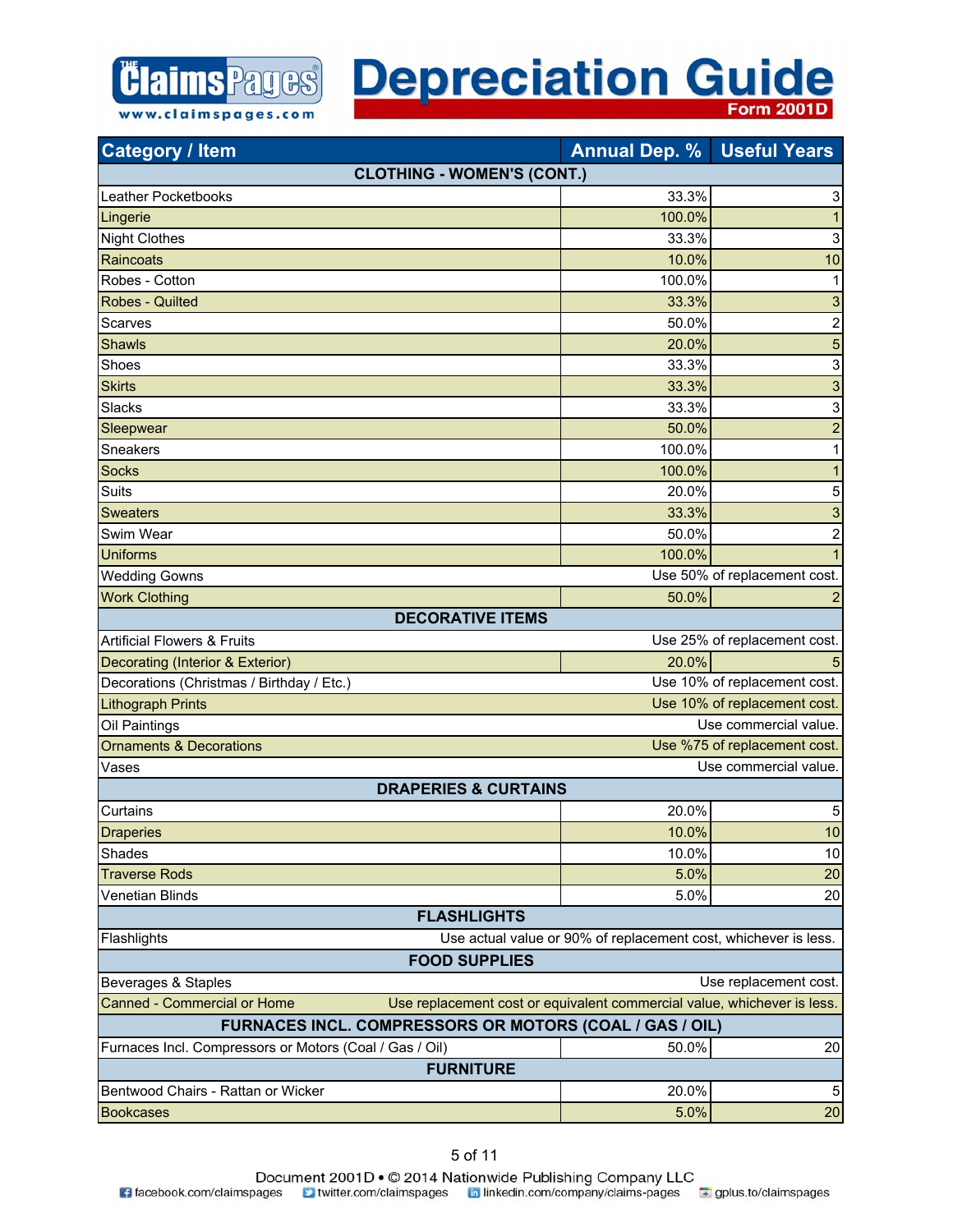

| <b>Category / Item</b>                                                                                        | <b>Annual Dep. % Useful Years</b>                               |                              |
|---------------------------------------------------------------------------------------------------------------|-----------------------------------------------------------------|------------------------------|
| <b>CLOTHING - WOMEN'S (CONT.)</b>                                                                             |                                                                 |                              |
| <b>Leather Pocketbooks</b>                                                                                    | 33.3%                                                           | 3                            |
| Lingerie                                                                                                      | 100.0%                                                          | $\mathbf{1}$                 |
| <b>Night Clothes</b>                                                                                          | 33.3%                                                           | $\mathsf 3$                  |
| Raincoats                                                                                                     | 10.0%                                                           | 10                           |
| Robes - Cotton                                                                                                | 100.0%                                                          | 1                            |
| <b>Robes - Quilted</b>                                                                                        | 33.3%                                                           | 3                            |
| Scarves                                                                                                       | 50.0%                                                           | $\overline{\mathbf{c}}$      |
| <b>Shawls</b>                                                                                                 | 20.0%                                                           | $\overline{5}$               |
| Shoes                                                                                                         | 33.3%                                                           | $\ensuremath{\mathsf{3}}$    |
| <b>Skirts</b>                                                                                                 | 33.3%                                                           | 3                            |
| Slacks                                                                                                        | 33.3%                                                           | $\ensuremath{\mathsf{3}}$    |
| Sleepwear                                                                                                     | 50.0%                                                           | $\overline{\mathbf{c}}$      |
| Sneakers                                                                                                      | 100.0%                                                          | 1                            |
| <b>Socks</b>                                                                                                  | 100.0%                                                          | $\mathbf{1}$                 |
| Suits                                                                                                         | 20.0%                                                           | 5                            |
| <b>Sweaters</b>                                                                                               | 33.3%                                                           | 3                            |
| Swim Wear                                                                                                     | 50.0%                                                           | $\boldsymbol{2}$             |
| <b>Uniforms</b>                                                                                               | 100.0%                                                          | $\mathbf{1}$                 |
| <b>Wedding Gowns</b>                                                                                          |                                                                 | Use 50% of replacement cost. |
| <b>Work Clothing</b>                                                                                          | 50.0%                                                           | $\overline{\mathbf{c}}$      |
| <b>DECORATIVE ITEMS</b>                                                                                       |                                                                 |                              |
| <b>Artificial Flowers &amp; Fruits</b>                                                                        |                                                                 | Use 25% of replacement cost. |
| Decorating (Interior & Exterior)                                                                              | 20.0%                                                           | 5                            |
| Decorations (Christmas / Birthday / Etc.)                                                                     |                                                                 | Use 10% of replacement cost. |
| Use 10% of replacement cost.<br><b>Lithograph Prints</b>                                                      |                                                                 |                              |
| Oil Paintings<br>Use commercial value.                                                                        |                                                                 |                              |
| <b>Ornaments &amp; Decorations</b><br>Use %75 of replacement cost.                                            |                                                                 |                              |
| Vases                                                                                                         |                                                                 | Use commercial value.        |
| <b>DRAPERIES &amp; CURTAINS</b>                                                                               |                                                                 |                              |
| Curtains                                                                                                      | 20.0%                                                           | 5                            |
| <b>Draperies</b>                                                                                              | 10.0%                                                           | 10                           |
| Shades                                                                                                        | 10.0%                                                           | 10                           |
| <b>Traverse Rods</b>                                                                                          | 5.0%                                                            | 20                           |
| Venetian Blinds                                                                                               | 5.0%                                                            | 20                           |
| <b>FLASHLIGHTS</b>                                                                                            |                                                                 |                              |
| Flashlights                                                                                                   | Use actual value or 90% of replacement cost, whichever is less. |                              |
| <b>FOOD SUPPLIES</b>                                                                                          |                                                                 |                              |
| Beverages & Staples                                                                                           |                                                                 | Use replacement cost.        |
| <b>Canned - Commercial or Home</b><br>Use replacement cost or equivalent commercial value, whichever is less. |                                                                 |                              |
| FURNACES INCL. COMPRESSORS OR MOTORS (COAL / GAS / OIL)                                                       |                                                                 |                              |
| Furnaces Incl. Compressors or Motors (Coal / Gas / Oil)                                                       | 50.0%                                                           | 20                           |
| <b>FURNITURE</b>                                                                                              |                                                                 |                              |
| Bentwood Chairs - Rattan or Wicker                                                                            | 20.0%                                                           | 5                            |
| <b>Bookcases</b>                                                                                              | 5.0%                                                            | 20                           |

www.claimspages.com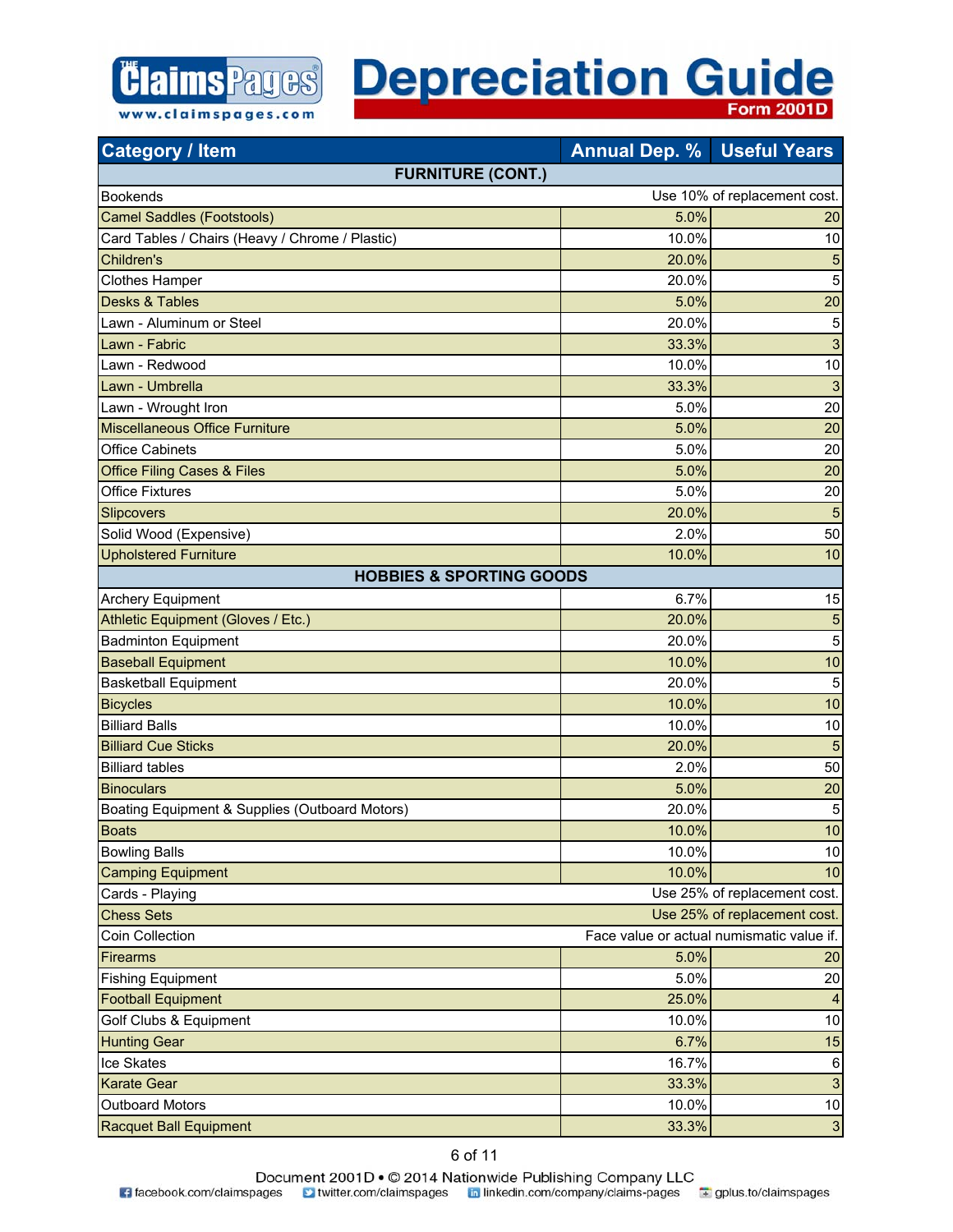

| <b>Category / Item</b>                          | <b>Annual Dep. %</b> | <b>Useful Years</b>                       |
|-------------------------------------------------|----------------------|-------------------------------------------|
| <b>FURNITURE (CONT.)</b>                        |                      |                                           |
| <b>Bookends</b>                                 |                      | Use 10% of replacement cost.              |
| <b>Camel Saddles (Footstools)</b>               | 5.0%                 | 20                                        |
| Card Tables / Chairs (Heavy / Chrome / Plastic) | 10.0%                | 10                                        |
| Children's                                      | 20.0%                | 5                                         |
| <b>Clothes Hamper</b>                           | 20.0%                | 5                                         |
| <b>Desks &amp; Tables</b>                       | 5.0%                 | 20                                        |
| Lawn - Aluminum or Steel                        | 20.0%                | 5                                         |
| Lawn - Fabric                                   | 33.3%                | 3                                         |
| Lawn - Redwood                                  | 10.0%                | 10                                        |
| Lawn - Umbrella                                 | 33.3%                | 3                                         |
| Lawn - Wrought Iron                             | 5.0%                 | 20                                        |
| <b>Miscellaneous Office Furniture</b>           | 5.0%                 | 20                                        |
| <b>Office Cabinets</b>                          | 5.0%                 | 20                                        |
| <b>Office Filing Cases &amp; Files</b>          | 5.0%                 | 20                                        |
| <b>Office Fixtures</b>                          | 5.0%                 | 20                                        |
| Slipcovers                                      | 20.0%                | 5                                         |
| Solid Wood (Expensive)                          | 2.0%                 | 50                                        |
| <b>Upholstered Furniture</b>                    | 10.0%                | 10                                        |
| <b>HOBBIES &amp; SPORTING GOODS</b>             |                      |                                           |
| <b>Archery Equipment</b>                        | 6.7%                 | 15                                        |
| Athletic Equipment (Gloves / Etc.)              | 20.0%                | 5                                         |
| <b>Badminton Equipment</b>                      | 20.0%                | 5                                         |
| <b>Baseball Equipment</b>                       | 10.0%                | 10                                        |
| <b>Basketball Equipment</b>                     | 20.0%                | 5                                         |
| <b>Bicycles</b>                                 | 10.0%                | 10                                        |
| <b>Billiard Balls</b>                           | 10.0%                | 10                                        |
| <b>Billiard Cue Sticks</b>                      | 20.0%                | 5                                         |
| <b>Billiard tables</b>                          | 2.0%                 | 50                                        |
| <b>Binoculars</b>                               | 5.0%                 | 20                                        |
| Boating Equipment & Supplies (Outboard Motors)  | 20.0%                | 5                                         |
| <b>Boats</b>                                    | 10.0%                | 10                                        |
| <b>Bowling Balls</b>                            | 10.0%                | 10                                        |
| <b>Camping Equipment</b>                        | 10.0%                | 10                                        |
| Cards - Playing                                 |                      | Use 25% of replacement cost.              |
| <b>Chess Sets</b>                               |                      | Use 25% of replacement cost.              |
| Coin Collection                                 |                      | Face value or actual numismatic value if. |
| Firearms                                        | 5.0%                 | 20                                        |
| <b>Fishing Equipment</b>                        | 5.0%                 | 20                                        |
| <b>Football Equipment</b>                       | 25.0%                | $\overline{4}$                            |
| Golf Clubs & Equipment                          | 10.0%                | 10                                        |
| <b>Hunting Gear</b>                             | 6.7%                 | 15                                        |
| Ice Skates                                      | 16.7%                | 6                                         |
| <b>Karate Gear</b>                              | 33.3%                | $\mathbf{3}$                              |
| <b>Outboard Motors</b>                          | 10.0%                | 10                                        |
| Racquet Ball Equipment                          | 33.3%                | $\mathbf{3}$                              |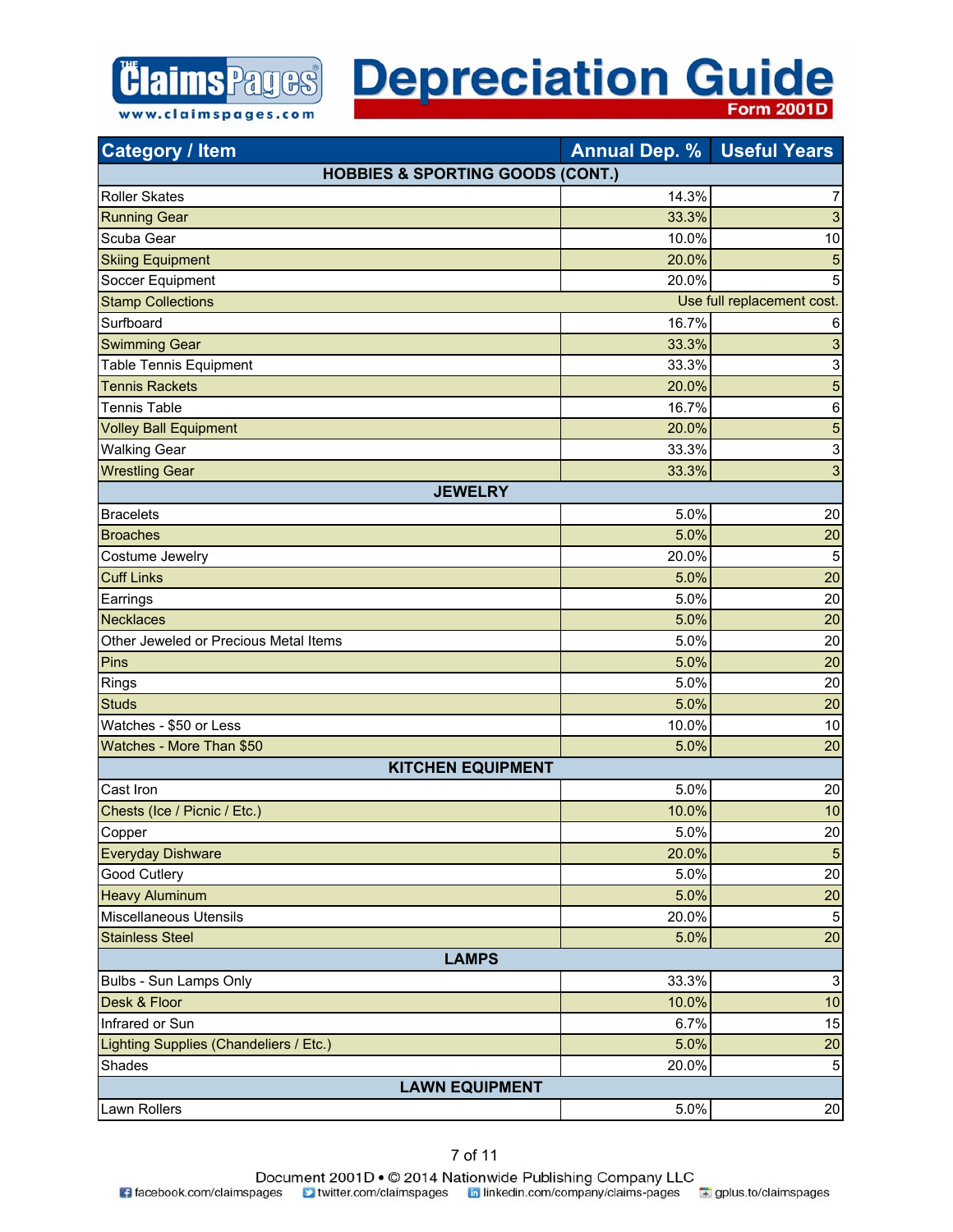

| <b>Category / Item</b>                      | <b>Annual Dep. %</b> | <b>Useful Years</b>        |
|---------------------------------------------|----------------------|----------------------------|
| <b>HOBBIES &amp; SPORTING GOODS (CONT.)</b> |                      |                            |
| <b>Roller Skates</b>                        | 14.3%                | 7                          |
| <b>Running Gear</b>                         | 33.3%                | 3                          |
| Scuba Gear                                  | 10.0%                | 10                         |
| <b>Skiing Equipment</b>                     | 20.0%                | 5                          |
| Soccer Equipment                            | 20.0%                | 5                          |
| <b>Stamp Collections</b>                    |                      | Use full replacement cost. |
| Surfboard                                   | 16.7%                | 6                          |
| <b>Swimming Gear</b>                        | 33.3%                | $\ensuremath{\mathsf{3}}$  |
| <b>Table Tennis Equipment</b>               | 33.3%                | $\ensuremath{\mathsf{3}}$  |
| <b>Tennis Rackets</b>                       | 20.0%                | 5                          |
| <b>Tennis Table</b>                         | 16.7%                | $\,6$                      |
| <b>Volley Ball Equipment</b>                | 20.0%                | 5                          |
| <b>Walking Gear</b>                         | 33.3%                | $\mathsf 3$                |
| <b>Wrestling Gear</b>                       | 33.3%                | 3                          |
| <b>JEWELRY</b>                              |                      |                            |
| <b>Bracelets</b>                            | 5.0%                 | 20                         |
| <b>Broaches</b>                             | 5.0%                 | 20                         |
| Costume Jewelry                             | 20.0%                | 5                          |
| <b>Cuff Links</b>                           | 5.0%                 | 20                         |
| Earrings                                    | 5.0%                 | 20                         |
| <b>Necklaces</b>                            | 5.0%                 | 20                         |
| Other Jeweled or Precious Metal Items       | 5.0%                 | 20                         |
| Pins                                        | 5.0%                 | 20                         |
| Rings                                       | 5.0%                 | 20                         |
| <b>Studs</b>                                | 5.0%                 | 20                         |
| Watches - \$50 or Less                      | 10.0%                | 10                         |
| Watches - More Than \$50                    | 5.0%                 | 20                         |
| <b>KITCHEN EQUIPMENT</b>                    |                      |                            |
| Cast Iron                                   | 5.0%                 | 20                         |
| Chests (Ice / Picnic / Etc.)                | 10.0%                | 10                         |
| Copper                                      | 5.0%                 | 20                         |
| <b>Everyday Dishware</b>                    | 20.0%                | $\sqrt{5}$                 |
| Good Cutlery                                | 5.0%                 | 20                         |
| <b>Heavy Aluminum</b>                       | 5.0%                 | 20                         |
| Miscellaneous Utensils                      | 20.0%                | 5                          |
| <b>Stainless Steel</b>                      | 5.0%                 | 20                         |
| <b>LAMPS</b>                                |                      |                            |
| Bulbs - Sun Lamps Only                      | 33.3%                | $\ensuremath{\mathsf{3}}$  |
| Desk & Floor                                | 10.0%                | 10                         |
| Infrared or Sun                             | 6.7%                 | 15                         |
| Lighting Supplies (Chandeliers / Etc.)      | 5.0%                 | 20                         |
| Shades                                      | 20.0%                | $\mathbf 5$                |
| <b>LAWN EQUIPMENT</b>                       |                      |                            |
| Lawn Rollers                                | 5.0%                 | 20                         |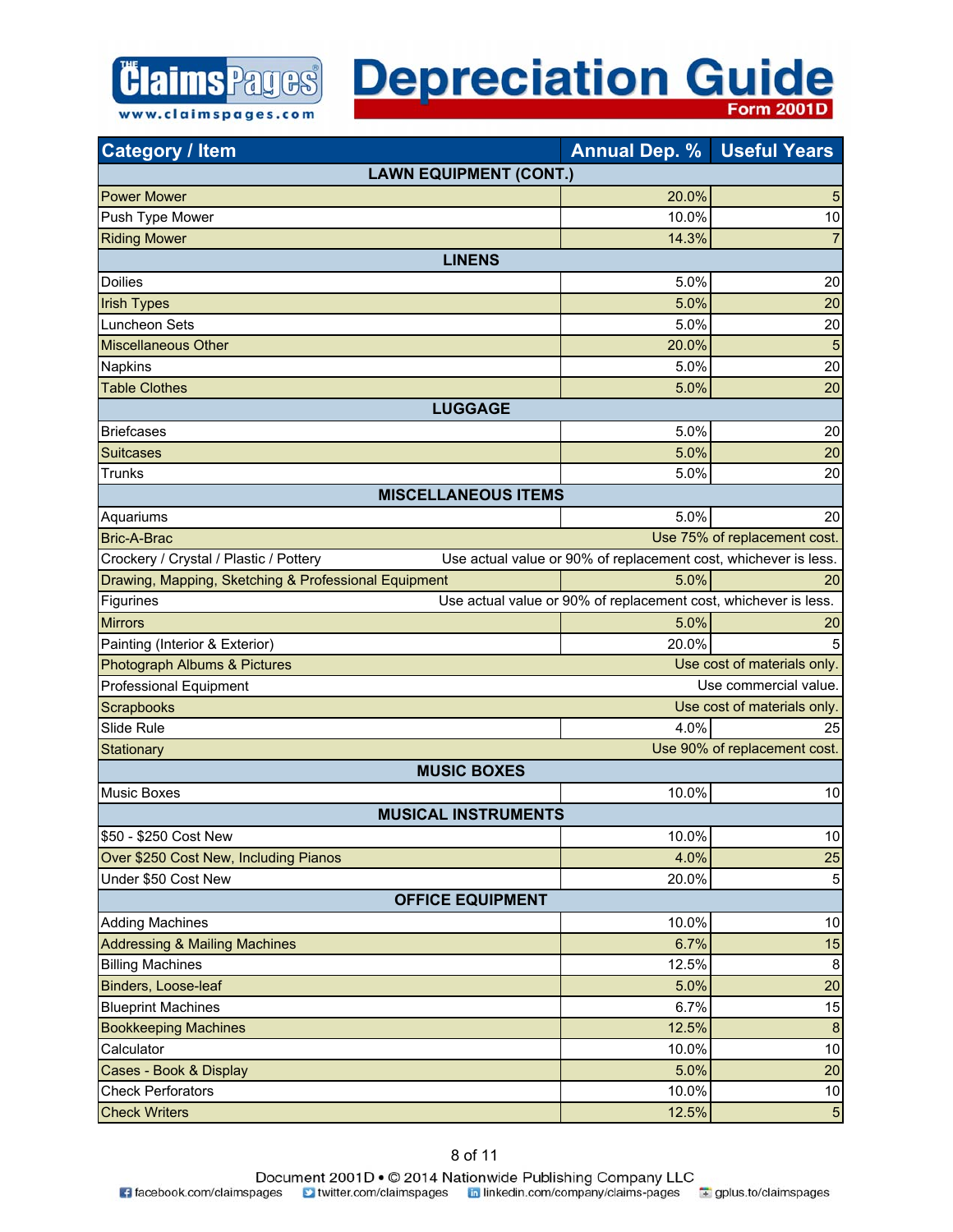| <b>Category / Item</b>                               | <b>Annual Dep. %</b>                                            | <b>Useful Years</b>          |
|------------------------------------------------------|-----------------------------------------------------------------|------------------------------|
| <b>LAWN EQUIPMENT (CONT.)</b>                        |                                                                 |                              |
| <b>Power Mower</b>                                   | 20.0%                                                           | 5                            |
| Push Type Mower                                      | 10.0%                                                           | 10                           |
| <b>Riding Mower</b>                                  | 14.3%                                                           | $\overline{7}$               |
| <b>LINENS</b>                                        |                                                                 |                              |
| <b>Doilies</b>                                       | 5.0%                                                            | 20                           |
| <b>Irish Types</b>                                   | 5.0%                                                            | 20                           |
| Luncheon Sets                                        | 5.0%                                                            | 20                           |
| Miscellaneous Other                                  | 20.0%                                                           | 5                            |
| <b>Napkins</b>                                       | 5.0%                                                            | 20                           |
| <b>Table Clothes</b>                                 | 5.0%                                                            | 20                           |
| <b>LUGGAGE</b>                                       |                                                                 |                              |
| <b>Briefcases</b>                                    | 5.0%                                                            | 20                           |
| <b>Suitcases</b>                                     | 5.0%                                                            | 20                           |
| <b>Trunks</b>                                        | 5.0%                                                            | 20                           |
| <b>MISCELLANEOUS ITEMS</b>                           |                                                                 |                              |
| Aquariums                                            | 5.0%                                                            | 20                           |
| <b>Bric-A-Brac</b>                                   |                                                                 | Use 75% of replacement cost. |
| Crockery / Crystal / Plastic / Pottery               | Use actual value or 90% of replacement cost, whichever is less. |                              |
| Drawing, Mapping, Sketching & Professional Equipment | 5.0%                                                            | 20                           |
| Figurines                                            | Use actual value or 90% of replacement cost, whichever is less. |                              |
| <b>Mirrors</b>                                       | 5.0%                                                            | 20                           |
| Painting (Interior & Exterior)                       | 20.0%                                                           | 5                            |
| Photograph Albums & Pictures                         |                                                                 | Use cost of materials only.  |
| <b>Professional Equipment</b>                        |                                                                 | Use commercial value.        |
| Scrapbooks                                           |                                                                 | Use cost of materials only.  |
| Slide Rule                                           | 4.0%                                                            | 25                           |
| Stationary                                           |                                                                 | Use 90% of replacement cost. |
| <b>MUSIC BOXES</b>                                   |                                                                 |                              |
| <b>Music Boxes</b>                                   | 10.0%                                                           | 10                           |
| <b>MUSICAL INSTRUMENTS</b>                           |                                                                 |                              |
| \$50 - \$250 Cost New                                | 10.0%                                                           | 10                           |
| Over \$250 Cost New, Including Pianos                | 4.0%                                                            | 25                           |
| Under \$50 Cost New                                  | 20.0%                                                           | 5                            |
| <b>OFFICE EQUIPMENT</b>                              |                                                                 |                              |
| <b>Adding Machines</b>                               | 10.0%                                                           | 10                           |
| <b>Addressing &amp; Mailing Machines</b>             | 6.7%                                                            | 15                           |
| <b>Billing Machines</b>                              | 12.5%                                                           | 8                            |
| Binders, Loose-leaf                                  | 5.0%                                                            | 20                           |
| <b>Blueprint Machines</b>                            | 6.7%                                                            | 15                           |
| <b>Bookkeeping Machines</b>                          | 12.5%                                                           | 8                            |
| Calculator                                           | 10.0%                                                           | 10                           |
| Cases - Book & Display                               | 5.0%                                                            | 20                           |
| <b>Check Perforators</b>                             | 10.0%                                                           | 10                           |
| <b>Check Writers</b>                                 | 12.5%                                                           | 5                            |

*<u> Claims Pages</u>* 

www.claimspages.com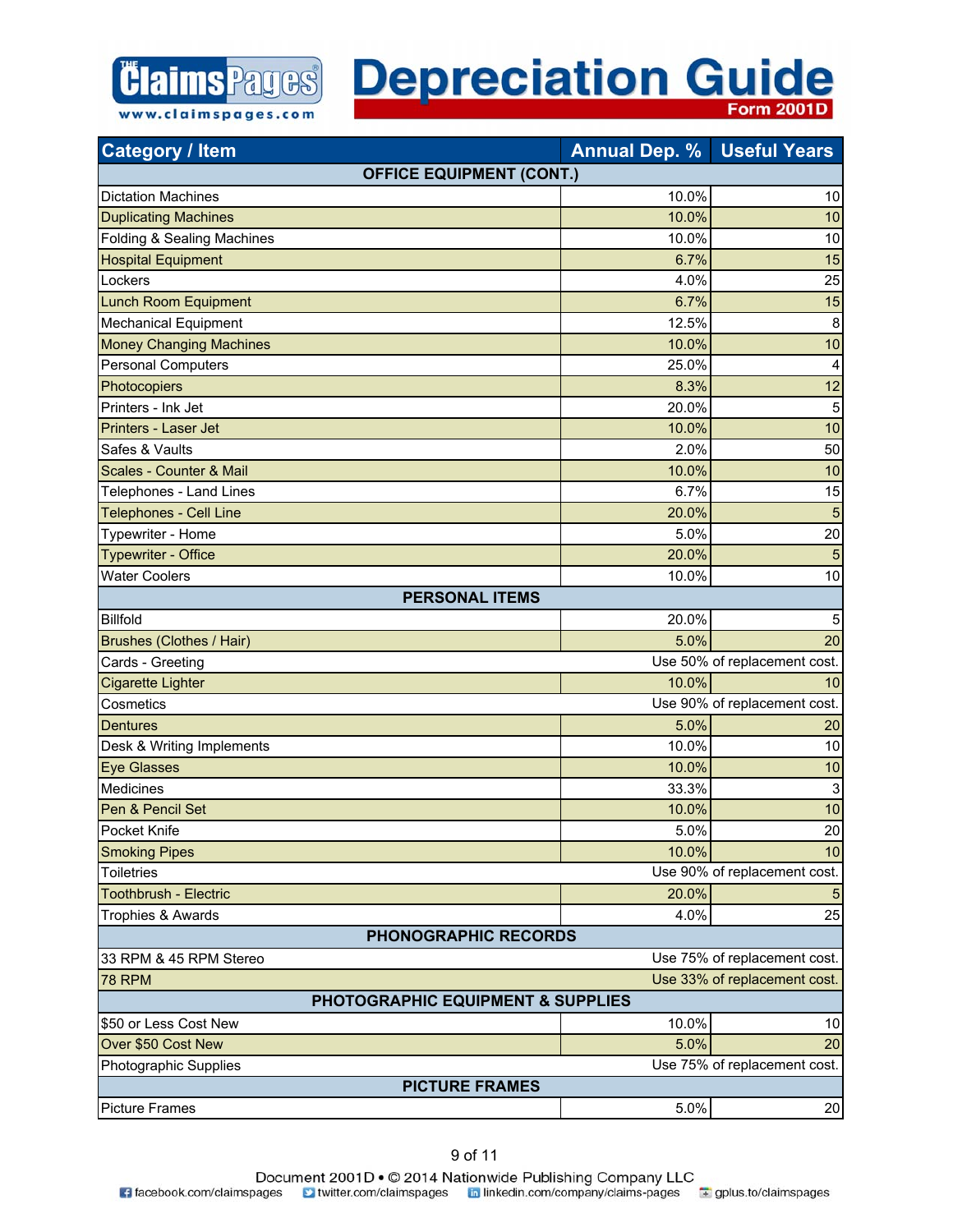

| <b>Category / Item</b>            | <b>Annual Dep. %</b> | <b>Useful Years</b>          |
|-----------------------------------|----------------------|------------------------------|
| <b>OFFICE EQUIPMENT (CONT.)</b>   |                      |                              |
| <b>Dictation Machines</b>         | 10.0%                | 10                           |
| <b>Duplicating Machines</b>       | 10.0%                | 10                           |
| Folding & Sealing Machines        | 10.0%                | 10                           |
| <b>Hospital Equipment</b>         | 6.7%                 | 15                           |
| Lockers                           | 4.0%                 | 25                           |
| <b>Lunch Room Equipment</b>       | 6.7%                 | 15                           |
| Mechanical Equipment              | 12.5%                | 8                            |
| <b>Money Changing Machines</b>    | 10.0%                | 10                           |
| <b>Personal Computers</b>         | 25.0%                | $\overline{\mathbf{4}}$      |
| Photocopiers                      | 8.3%                 | 12                           |
| Printers - Ink Jet                | 20.0%                | 5                            |
| Printers - Laser Jet              | 10.0%                | 10                           |
| Safes & Vaults                    | 2.0%                 | 50                           |
| Scales - Counter & Mail           | 10.0%                | 10                           |
| Telephones - Land Lines           | 6.7%                 | 15                           |
| <b>Telephones - Cell Line</b>     | 20.0%                | 5                            |
| Typewriter - Home                 | 5.0%                 | 20                           |
| <b>Typewriter - Office</b>        | 20.0%                | 5                            |
| <b>Water Coolers</b>              | 10.0%                | 10                           |
| <b>PERSONAL ITEMS</b>             |                      |                              |
| <b>Billfold</b>                   | 20.0%                | 5                            |
| <b>Brushes (Clothes / Hair)</b>   | 5.0%                 | 20                           |
| Cards - Greeting                  |                      | Use 50% of replacement cost. |
| <b>Cigarette Lighter</b>          | 10.0%                | 10                           |
| Cosmetics                         |                      | Use 90% of replacement cost. |
| <b>Dentures</b>                   | 5.0%                 | 20                           |
| Desk & Writing Implements         | 10.0%                | 10                           |
| <b>Eye Glasses</b>                | 10.0%                | 10                           |
| <b>Medicines</b>                  | 33.3%                | 3                            |
| Pen & Pencil Set                  | 10.0%                | 10                           |
| Pocket Knife                      | 5.0%                 | 20                           |
| <b>Smoking Pipes</b>              | 10.0%                | 10                           |
| <b>Toiletries</b>                 |                      | Use 90% of replacement cost. |
| <b>Toothbrush - Electric</b>      | 20.0%                | 5                            |
| Trophies & Awards                 | 4.0%                 | 25                           |
| <b>PHONOGRAPHIC RECORDS</b>       |                      |                              |
| 33 RPM & 45 RPM Stereo            |                      | Use 75% of replacement cost. |
| <b>78 RPM</b>                     |                      | Use 33% of replacement cost. |
| PHOTOGRAPHIC EQUIPMENT & SUPPLIES |                      |                              |
| \$50 or Less Cost New             | 10.0%                | 10                           |
| Over \$50 Cost New                | 5.0%                 | 20                           |
| Photographic Supplies             |                      | Use 75% of replacement cost. |
| <b>PICTURE FRAMES</b>             |                      |                              |
| <b>Picture Frames</b>             | 5.0%                 | 20                           |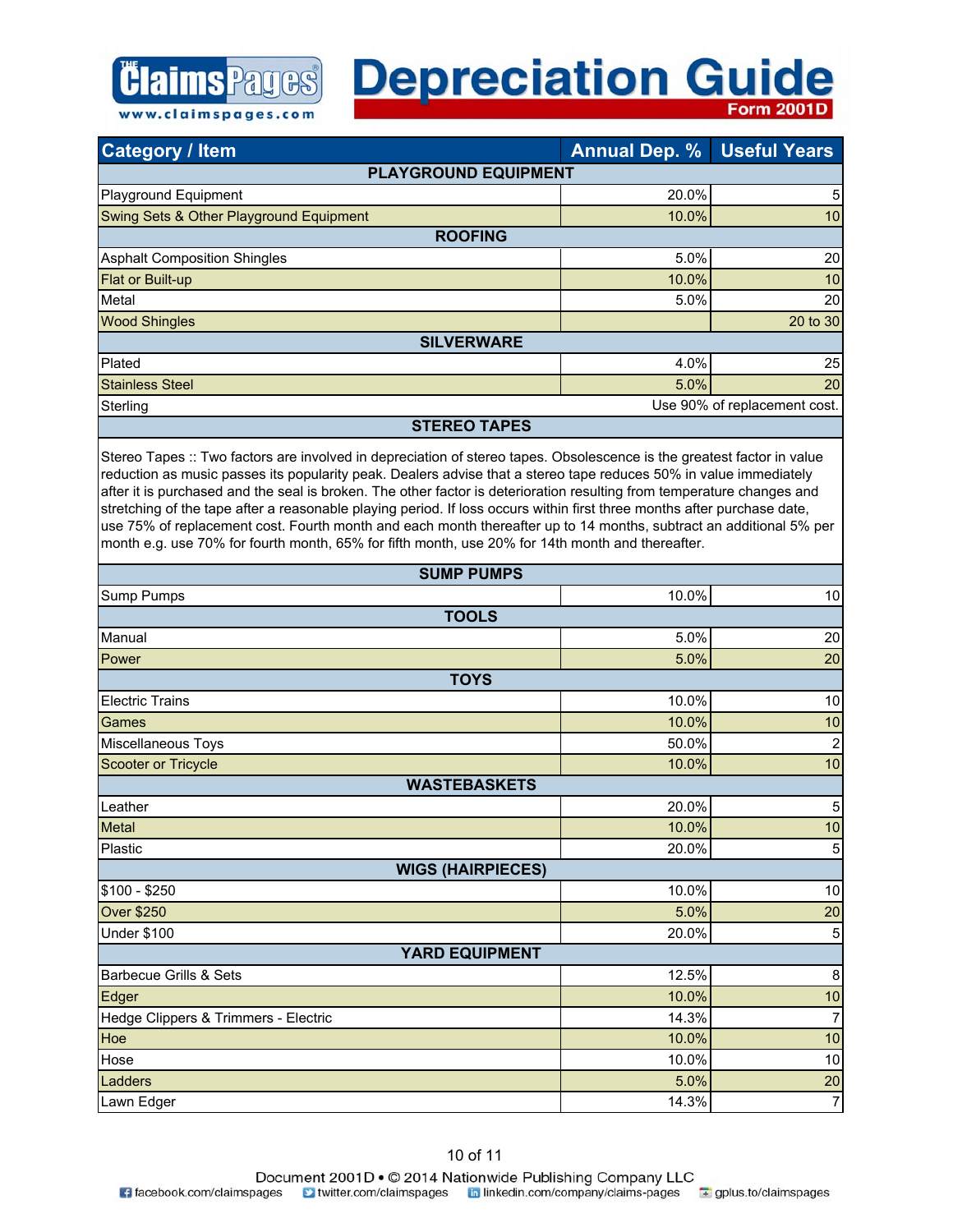#### **Depreciation Guide Form 2001D**

| <b>Category / Item</b>                  | <b>Annual Dep. %</b> | <b>Useful Years</b>          |
|-----------------------------------------|----------------------|------------------------------|
| <b>PLAYGROUND EQUIPMENT</b>             |                      |                              |
| Playground Equipment                    | 20.0%                | 5                            |
| Swing Sets & Other Playground Equipment | $10.0\%$             | 10                           |
| <b>ROOFING</b>                          |                      |                              |
| <b>Asphalt Composition Shingles</b>     | 5.0%                 | 20                           |
| Flat or Built-up                        | 10.0%                | 10                           |
| Metal                                   | 5.0%                 | 20                           |
| <b>Wood Shingles</b>                    |                      | 20 to 30                     |
| <b>SILVERWARE</b>                       |                      |                              |
| Plated                                  | 4.0%                 | 25                           |
| <b>Stainless Steel</b>                  | 5.0%                 | 20                           |
| Sterling                                |                      | Use 90% of replacement cost. |
| <b>STEREO TAPES</b>                     |                      |                              |

www.claimspages.com

Stereo Tapes :: Two factors are involved in depreciation of stereo tapes. Obsolescence is the greatest factor in value reduction as music passes its popularity peak. Dealers advise that a stereo tape reduces 50% in value immediately after it is purchased and the seal is broken. The other factor is deterioration resulting from temperature changes and stretching of the tape after a reasonable playing period. If loss occurs within first three months after purchase date, use 75% of replacement cost. Fourth month and each month thereafter up to 14 months, subtract an additional 5% per month e.g. use 70% for fourth month, 65% for fifth month, use 20% for 14th month and thereafter.

| <b>SUMP PUMPS</b>                    |       |                |
|--------------------------------------|-------|----------------|
| Sump Pumps                           | 10.0% | 10             |
| <b>TOOLS</b>                         |       |                |
| Manual                               | 5.0%  | 20             |
| Power                                | 5.0%  | 20             |
| <b>TOYS</b>                          |       |                |
| <b>Electric Trains</b>               | 10.0% | 10             |
| Games                                | 10.0% | 10             |
| Miscellaneous Toys                   | 50.0% | $\mathbf 2$    |
| Scooter or Tricycle                  | 10.0% | 10             |
| <b>WASTEBASKETS</b>                  |       |                |
| Leather                              | 20.0% | $\sqrt{5}$     |
| Metal                                | 10.0% | 10             |
| Plastic                              | 20.0% | $\mathbf 5$    |
| <b>WIGS (HAIRPIECES)</b>             |       |                |
| $$100 - $250$                        | 10.0% | 10             |
| <b>Over \$250</b>                    | 5.0%  | 20             |
| <b>Under \$100</b>                   | 20.0% | $\mathbf 5$    |
| <b>YARD EQUIPMENT</b>                |       |                |
| <b>Barbecue Grills &amp; Sets</b>    | 12.5% | $\bf 8$        |
| Edger                                | 10.0% | 10             |
| Hedge Clippers & Trimmers - Electric | 14.3% | $\overline{7}$ |
| Hoe                                  | 10.0% | 10             |
| Hose                                 | 10.0% | 10             |
| Ladders                              | 5.0%  | $20\,$         |
| Lawn Edger                           | 14.3% | $\overline{7}$ |